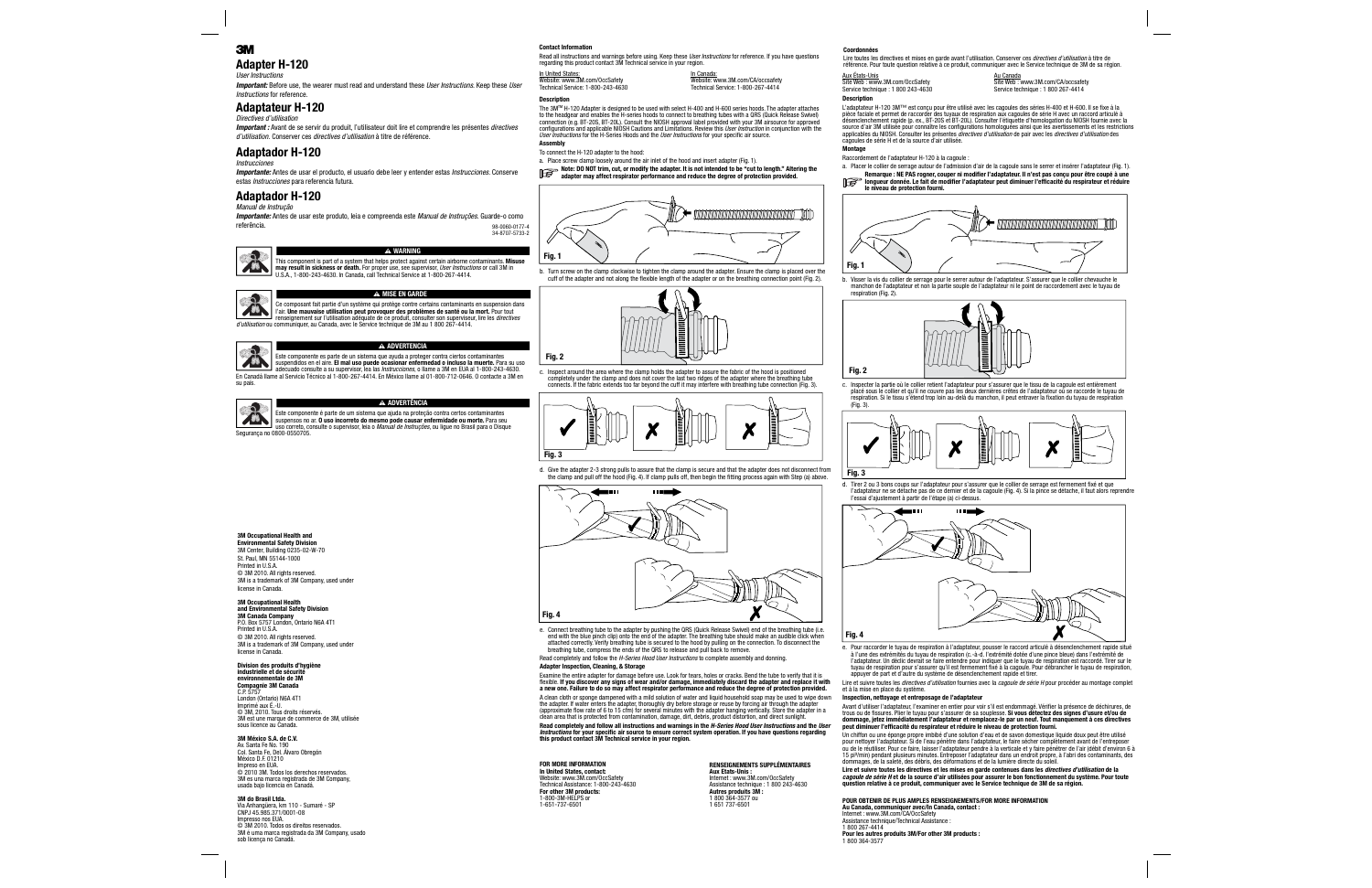# 3

### **Adapter H-120** *User Instructions*

 *Important:* Before use, the wearer must read and understand these *User Instructions*. Keep these *User Instructions* for reference.

# **Adaptateur H-120**

*Directives d'utilisation*

*Important :* Avant de se servir du produit, l'utilisateur doit lire et comprendre les présentes *directives d'utilisation.* Conserver ces *directives d'utilisation* à titre de référence.

# **Adaptador H-120**

### *Instrucciones*

*Importante:* Antes de usar el producto, el usuario debe leer y entender estas *Instrucciones*. Conserve estas *Instrucciones* para referencia futura.

# **Adaptador H-120**

*Manual de Instrução*

*Importante:* Antes de usar este produto, leia e compreenda este *Manual de Instruções*. Guarde-o como referência.



### **WARNING**

This component is part of a system that helps protect against certain airborne contaminants. **Misuse may result in sickness or death.** For proper use, see supervisor, *User Instructions* or call 3M in U.S.A., 1-800-243-4630. In Canada, call Technical Service at 1-800-267-4414.

 $\blacktriangle$ 

### W **MISE EN GARDE**

Ce composant fait partie d'un système qui protège contre certains contaminants en suspension dans 78 l'air. **Une mauvaise utilisation peut provoquer des problèmes de santé ou la mort.** Pour tout renseignement sur l'utilisation adéquate de ce produit, consulter son superviseur, lire les *directives d'utilisation* ou communiquer, au Canada, avec le Service technique de 3M au 1 800 267-4414.



### W **ADVERTENCIA**

Este componente es parte de un sistema que ayuda a proteger contra ciertos contaminantes suspendidos en el aire. **El mal uso puede ocasionar enfermedad o incluso la muerte.** Para su uso adecuado consulte a su supervisor, lea las *Instrucciones*, o llame a 3M en EUA al 1-800-243-4630. En Canadá llame al Servicio Técnico al 1-800-267-4414. En México llame al 01-800-712-0646. O contacte a 3M en su país.



### W **ADVERTÊNCIA**

Este componente é parte de um sistema que ajuda na proteção contra certos contaminantes suspensos no ar. **O uso incorreto do mesmo pode causar enfermidade ou morte.** Para seu uso correto, consulte o supervisor, leia o *Manual de Instruções*, ou ligue no Brasil para o Disque Segurança no 0800-0550705.

# **3M Occupational Health and**

**Environmental Safety Division** 3M Center, Building 0235-02-W-70 St. Paul, MN 55144-1000 Printed in U.S.A. C 3M 2010. All rights reserved. 3M is a trademark of 3M Company, used under license in Canada.

# **3M Occupational Health**

**and Environmental Safety Division 3M Canada Company**  P.O. Box 5757 London, Ontario N6A 4T1

Printed in U.S.A. © 3M 2010. All rights reserved. 3M is a trademark of 3M Company, used under license in Canada.

#### **Division des produits d'hygiène industrielle et de sécurité environnementale de 3M**

**Compagnie 3M Canada** C.P. 5757

London (Ontario) N6A 4T1<br>Imprimé aux É.-U. © 3M, 2010. Tous droits réservés. 3M est une marque de commerce de 3M, utilisée sous licence au Canada.

# **3M México S.A. de C.V.**

 Av. Santa Fe No. 190 Col. Santa Fe, Del. Álvaro Obregón México D.F. 01210Impreso en EUA. © 2010 3M. Todos los derechos reservados. 3M es una marca registrada de 3M Company, usada bajo licencia en Canadá.

# **3M do Brasil Ltda.**

 Via Anhangüera, km 110 - Sumaré - SP CNPJ 45.985.371/0001-08 Impresso nos EUA. © 3M 2010. Todos os direitos reservados. 3M é uma marca registrada da 3M Company, usado sob licença no Canadá.

### **Contact Information**

**Description**

 Read all instructions and warnings before using. Keep these *User Instructions* for reference. If you have questions regarding this product contact 3M Technical service in your region.

In United States: Website: www.3M.com/OccSafety Technical Service: 1-800-243-4630

| In Canada:                        |
|-----------------------------------|
| Website: www.3M.com/CA/occsafety  |
| Technical Service: 1-800-267-4414 |
|                                   |

The 3M™ H-120 Adapter is designed to be used with select H-400 and H-600 series hoods. The adapter attaches<br>to the headgear and enables the H-series hoods to connect to breathing tubes with a QRS (Quick Release Swivel) connection (e.g. BT-20S, BT-20L). Consult the NIOSH approval label provided with your 3M airsource for approved<br>configurations and applicable NIOSH Cautions and Limitations. Review this *User Instruction* in conjunction wi *User Instructions* for the H-Series Hoods and the *User Instructions* for your specific air source.

#### **Assembly** To connect the H-120 adapter to the hood:

a. Place screw clamp loosely around the air inlet of the hood and insert adapter (Fig. 1).

# **Note: DO NOT trim, cut, or modify the adapter. It is not intended to be "cut to length." Altering the adapter may affect respirator performance and reduce the degree of protection provided.**



cuff of the adapter and not along the flexible length of the adapter or on the breathing connection point (Fig. 2).



c. Inspect around the area where the clamp holds the adapter to assure the fabric of the hood is positioned completely under the clamp and does not cover the last two ridges of the adapter where the breathing tube



the clamp and pull off the hood (Fig. 4). If clamp pulls off, then begin the fitting process again with Step (a) above.



e. Connect breathing tube to the adapter by pushing the QRS (Quick Release Swivel) end of the breathing tube (i.e. end with the blue pinch clip) onto the end of the adapter. The breathing tube should make an audible click when<br>attached correctly. Verify breathing tube is secured to the hood by pulling on the connection. To disconnect t breathing tube, compress the ends of the QRS to release and pull back to remove.

Read completely and follow the *H-Series Hood User Instructions* to complete assembly and donning. **Adapter Inspection, Cleaning, & Storage**

Examine the entire adapter for damage before use. Look for tears, holes or cracks. Bend the tube to verify that it is flexible. If you discover any signs of wear and/or damage, immediately discard the adapter and replace it with<br>a new one. Failure to do so may affect respirator performance and reduce the degree of protection provided. A clean cloth or sponge dampened with a mild solution of water and liquid household soap may be used to wipe down the adapter. If water enters the adapter, thoroughly dry before storage or reuse by forcing air through the adapter<br>(approximate flow rate of 6 to 15 cfm) for several minutes with the adapter hanging vertically. Store the **Read completely and follow all instructions and warnings in the** *H-Series Hood User Instructions* **and the** *User*  Instructions for your specific air source to ensure correct system operation. If you have questions regarding<br>this product contact 3M Technical service in your region.

#### **FOR MORE INFORMATIONIn United States, contact:**

Website: www.3M.com/OccSafety Technical Assistance: 1-800-243-4630 **For other 3M products:** 1-800-3M-HELPS or 1-651-737-6501

#### **RENSEIGNEMENTS SUPPLÉMENTAIRESAux Etats-Unis :**

 Internet : www.3M.com/OccSafety Assistance technique : 1 800 243-4630 **Autres produits 3M :**  1 800 364-3577 ou 1 651 737-6501

**Coordonnées**

 Lire toutes les directives et mises en garde avant l'utilisation. Conserver ces *directives d'utilisation* à titre de référence. Pour toute question relative à ce produit, communiquer avec le Service technique de 3M de sa région.

| Aux États-Unis                                                      |
|---------------------------------------------------------------------|
| Site Web: www.3M.com/OccSafety<br>Service technique: 1 800 243-4630 |
| <b>Description</b>                                                  |

Au Canada **Site Web : www.3M.com/CA/occsafety** Service technique : 1 800 267-4414

L'adaptateur H-120 3M™ est conçu pour être utilisé avec les cagoules des séries H-400 et H-600. Il se fi xe à la pièce faciale et permet de raccorder des tuyaux de respiration aux cagoules de série H avec un raccord articulé à désenclenchement rapide (p. ex., BT-20S et BT-20L). Consulter l'étiquette d'homologation du NIOSH fournie avec la source d'air 3M utilisée pour connaître les confi gurations homologuées ainsi que les avertissements et les restrictions applicables du NIOSH. Consulter les présentes *directives d'utilisation* de pair avec les *directives d'utilisation* des cagoules de série H et de la source d'air utilisée.

### **Montage**

**Fig. 2**

Raccordement de l'adaptateur H-120 à la cagoule :

a. Placer le collier de serrage autour de l'admission d'air de la cagoule sans le serrer et insérer l'adaptateur (Fig. 1).





b. Visser la vis du collier de serrage pour le serrer autour de l'adaptateur. S'assurer que le collier chevauche le manchon de l'adaptateur et non la partie souple de l'adaptateur ni le point de raccordement avec le tuyau de respiration (Fig. 2).



c. Inspecter la partie où le collier retient l'adaptateur pour s'assurer que le tissu de la cagoule est entièrement placé sous le collier et qu'il ne couvre pas les deux dernières crêtes de l'adaptateur où se raccorde le tuyau de respiration. Si le tissu s'étend trop loin au-delà du manchon, il peut entraver la fixation du tuyau de respiration (Fig. 3).



d. Tirer 2 ou 3 bons coups sur l'adaptateur pour s'assurer que le collier de serrage est fermement fixé et que l'adaptateur ne se détache pas de ce dernier et de la cagoule (Fig. 4). Si la pince se détache, il faut alors reprendre l'essai d'ajustement à partir de l'étape (a) ci-dessus.



e. Pour raccorder le tuyau de respiration à l'adaptateur, pousser le raccord articulé à désenclenchement rapide situé à l'une des extrémités du tuyau de respiration (c.-à-d. l'extrémité dotée d'une pince bleue) dans l'extrémité de l'adaptateur. Un déclic devrait se faire entendre pour indiquer que le tuyau de respiration est raccordé. Tirer sur le tuyau de respiration pour s'assurer qu'il est fermement fixé à la cagoule. Pour débrancher le tuyau de respiration,<br>appuyer de part et d'autre du système de désenclenchement rapide et tirer.

Lire et suivre toutes les *directives d'utilisation* fournies avec la *cagoule de série H* pour procéder au montage complet et à la mise en place du système.

### **Inspection, nettoyage et entreposage de l'adaptateur**

Avant d'utiliser l'adaptateur, l'examiner en entier pour voir s'il est endommagé. Vérifier la présence de déchirures, de trous ou de fi ssures. Plier le tuyau pour s'assurer de sa souplesse. **Si vous détectez des signes d'usure et/ou de dommage, jetez immédiatement l'adaptateur et remplacez-le par un neuf. Tout manquement à ces directives**  peut diminuer l'efficacité du respirateur et réduire le niveau de protection fourni.

Un chiffon ou une éponge propre imbibé d'une solution d'eau et de savon domestique liquide doux peut être utilisé pour nettoyer l'adaptateur. Si de l'eau pénètre dans l'adaptateur, le faire sécher complètement avant de l'entreposer ou de le réutiliser. Pour ce faire, laisser l'adaptateur pendre à la verticale et y faire pénétrer de l'air (débit d'environ 6 à 15 pi³/min) pendant plusieurs minutes. Entreposer l'adaptateur dans un endroit propre, à l'abri des contaminants, des dommages, de la saleté, des débris, des déformations et de la lumière directe du soleil.

**Lire et suivre toutes les directives et les mises en garde contenues dans les** *directives d'utilisation* **de la** *cagoule de série H* **et de la source d'air utilisées pour assurer le bon fonctionnement du système. Pour toute question relative à ce produit, communiquer avec le Service technique de 3M de sa région.**

### **POUR OBTENIR DE PLUS AMPLES RENSEIGNEMENTS/FOR MORE INFORMATION**

**Au Canada, communiquer avec/In Canada, contact :** Internet : www.3M.com/CA/OccSafety Assistance technique/Technical Assistance 1 800 267-4414 **Pour les autres produits 3M/For other 3M products :**  1 800 364-3577

b. Turn screw on the clamp clockwise to tighten the clamp around the adapter. Ensure the clamp is placed over the

98-0060-0177-4 34-8707-5733-2



# **Fig. 2**

connects. If the fabric extends too far beyond the cuff it may interfere with breathing tube connection (Fig. 3).

d. Give the adapter 2-3 strong pulls to assure that the clamp is secure and that the adapter does not disconnect from